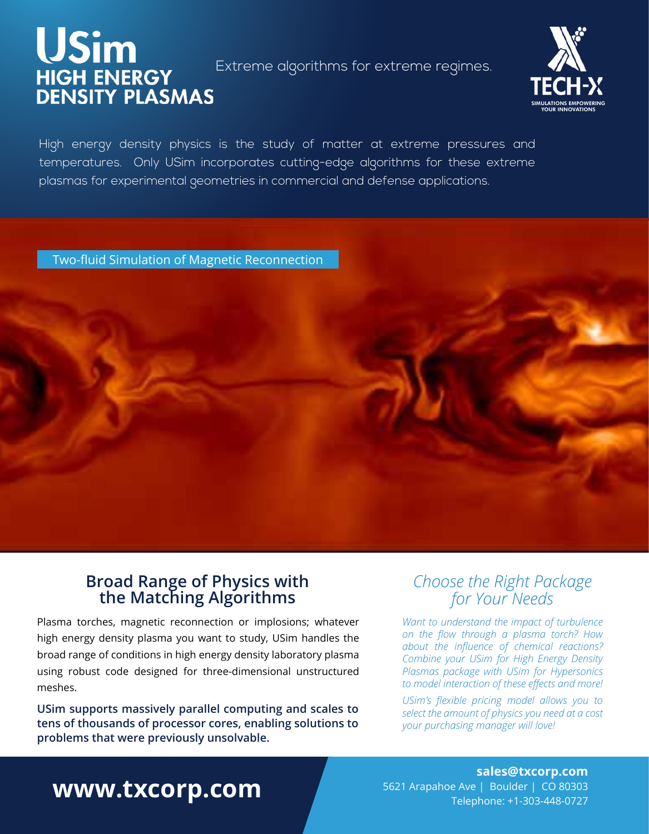# USIM<br>HIGH ENERGY Extreme algorithms for extreme regimes.<br>DENSITY PLASMAS



High energy density physics is the study of matter at extreme pressures and temperatures. Only USim incorporates cutting-edge algorithms for these extreme plasmas for experimental geometries in commercial and defense applications.

Two-fluid Simulation of Magnetic Reconnection

### **Broad Range of Physics with the Matching Algorithms**

Plasma torches, magnetic reconnection or implosions; whatever high energy density plasma you want to study, USim handles the broad range of conditions in high energy density laboratory plasma using robust code designed for three-dimensional unstructured meshes.

**USim supports massively parallel computing and scales to tens of thousands of processor cores, enabling solutions to problems that were previously unsolvable.**

#### *Choose the Right Package for Your Needs*

*Want to understand the impact of turbulence on the flow through a plasma torch? How about the influence of chemical reactions? Combine your USim for High Energy Density Plasmas package with USim for Hypersonics to model interaction of these effects and more!* 

*USim's flexible pricing model allows you to select the amount of physics you need at a cost your purchasing manager will love!*

## **www.txcorp.com**

**sales@txcorp.com** 5621 Arapahoe Ave | Boulder | CO 80303 Telephone: +1-303-448-0727